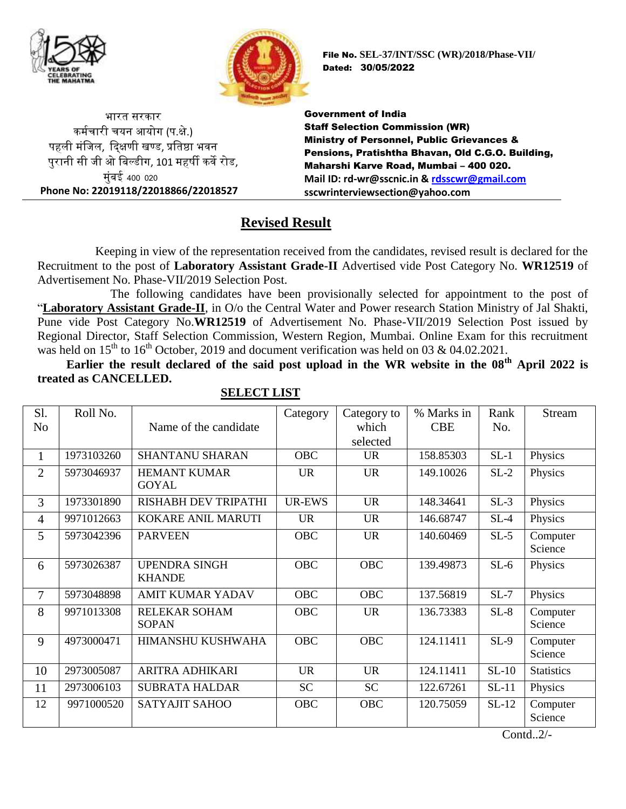



भारत सरकार कर्मचारी चयन आयोग (प.क्षे.) पहली मंजिल, दिक्षणी खण्ड, प्रतिष्ठा भवन पुरानी सी िी ओ जिल्डीग, 101 र्हर्षी कवे रोड, मुंबई 400 020 **Phone No: 22019118/22018866/22018527** File No. **SEL-37/INT/SSC (WR)/2018/Phase-VII/** Dated: 30/05/2022

Government of India Staff Selection Commission (WR) Ministry of Personnel, Public Grievances & Pensions, Pratishtha Bhavan, Old C.G.O. Building, Maharshi Karve Road, Mumbai – 400 020. **Mail ID: rd-wr@sscnic.in & [rdsscwr@gmail.com](mailto:rdsscwr@gmail.com) sscwrinterviewsection@yahoo.com**

## **Revised Result**

Keeping in view of the representation received from the candidates, revised result is declared for the Recruitment to the post of **Laboratory Assistant Grade-II** Advertised vide Post Category No. **WR12519** of Advertisement No. Phase-VII/2019 Selection Post.

The following candidates have been provisionally selected for appointment to the post of "**Laboratory Assistant Grade-II**, in O/o the Central Water and Power research Station Ministry of Jal Shakti, Pune vide Post Category No.**WR12519** of Advertisement No. Phase-VII/2019 Selection Post issued by Regional Director, Staff Selection Commission, Western Region, Mumbai. Online Exam for this recruitment was held on  $15<sup>th</sup>$  to  $16<sup>th</sup>$  October, 2019 and document verification was held on 03 & 04.02.2021.

**Earlier the result declared of the said post upload in the WR website in the 08th April 2022 is treated as CANCELLED.**

| Sl.            | Roll No.   |                                       | Category      | Category to | % Marks in | Rank    | <b>Stream</b>                                            |
|----------------|------------|---------------------------------------|---------------|-------------|------------|---------|----------------------------------------------------------|
| N <sub>o</sub> |            | Name of the candidate                 |               | which       | <b>CBE</b> | No.     |                                                          |
|                |            |                                       |               | selected    |            |         |                                                          |
| 1              | 1973103260 | <b>SHANTANU SHARAN</b>                | <b>OBC</b>    | <b>UR</b>   | 158.85303  | $SL-1$  | Physics                                                  |
| $\overline{2}$ | 5973046937 | <b>HEMANT KUMAR</b><br><b>GOYAL</b>   | <b>UR</b>     | <b>UR</b>   | 149.10026  | $SL-2$  | Physics                                                  |
| 3              | 1973301890 | RISHABH DEV TRIPATHI                  | <b>UR-EWS</b> | <b>UR</b>   | 148.34641  | $SL-3$  | Physics                                                  |
| $\overline{4}$ | 9971012663 | <b>KOKARE ANIL MARUTI</b>             | <b>UR</b>     | <b>UR</b>   | 146.68747  | $SL-4$  | Physics                                                  |
| 5              | 5973042396 | <b>PARVEEN</b>                        | <b>OBC</b>    | <b>UR</b>   | 140.60469  | $SL-5$  | Computer<br>Science                                      |
| 6              | 5973026387 | <b>UPENDRA SINGH</b><br><b>KHANDE</b> | <b>OBC</b>    | <b>OBC</b>  | 139.49873  | $SL-6$  | Physics                                                  |
| 7              | 5973048898 | <b>AMIT KUMAR YADAV</b>               | <b>OBC</b>    | <b>OBC</b>  | 137.56819  | $SL-7$  | Physics                                                  |
| 8              | 9971013308 | RELEKAR SOHAM<br><b>SOPAN</b>         | <b>OBC</b>    | <b>UR</b>   | 136.73383  | $SL-8$  | Computer<br>Science                                      |
| 9              | 4973000471 | HIMANSHU KUSHWAHA                     | <b>OBC</b>    | <b>OBC</b>  | 124.11411  | $SL-9$  | Computer<br>Science                                      |
| 10             | 2973005087 | ARITRA ADHIKARI                       | <b>UR</b>     | <b>UR</b>   | 124.11411  | $SL-10$ | <b>Statistics</b>                                        |
| 11             | 2973006103 | <b>SUBRATA HALDAR</b>                 | <b>SC</b>     | <b>SC</b>   | 122.67261  | $SL-11$ | Physics                                                  |
| 12             | 9971000520 | <b>SATYAJIT SAHOO</b>                 | <b>OBC</b>    | OBC         | 120.75059  | $SL-12$ | Computer<br>Science<br>$\bigcap_{i=1}^n \bigcap_{i=1}^n$ |

## **SELECT LIST**

Contd..2/-